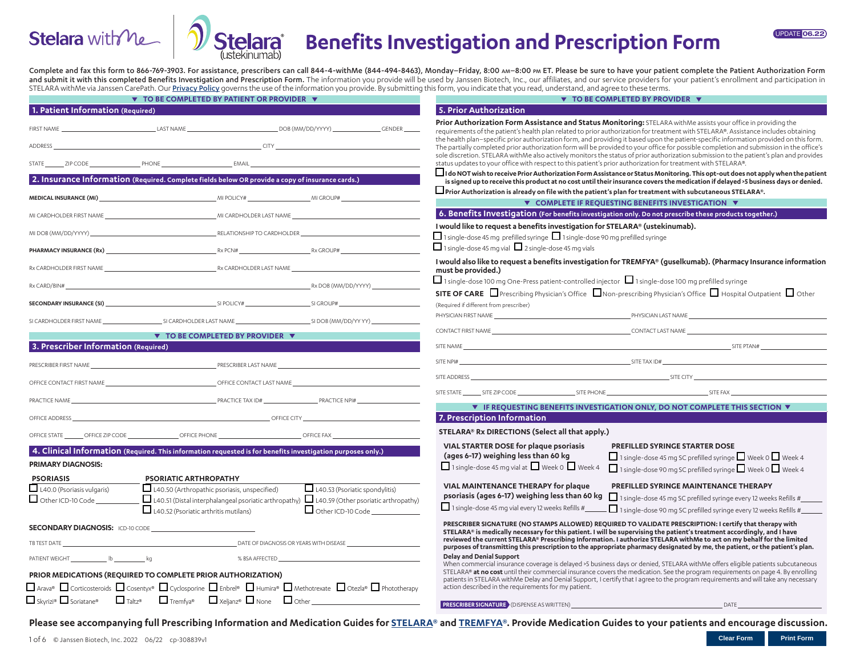



# **Benefits Investigation and Prescription Form**

Complete and fax this form to 866-769-3903. For assistance, prescribers can call 844-4-withMe (844-494-8463), Monday-Friday, 8:00 Am-8:00 PM ET. Please be sure to have your patient complete the Patient Authorization Form and submit it with this completed Benefits Investigation and Prescription Form. The information you provide will be used by Janssen Biotech, Inc., our affiliates, and our service providers for your patient's enrollment and STELARA withMe via Janssen CarePath. Our [Privacy Policy](https://www.stelarawithme.com/privacy-policy
) governs the use of the information you provide. By submitting this form, you indicate that you read, understand, and agree to these terms.

| ▼ TO BE COMPLETED BY PATIENT OR PROVIDER ▼                                                                                                                                                                                     |                                                                                                                                                                                                                                     |                                                            |  | ▼ TO BE COMPLETED BY PROVIDER ▼                                                                                                                                                                                                                                                                                                                                                                                                                                                                                                                                                                                                                                                                                                                               |                                                                                                                                                                                        |                                                                                                                                                                                                                                    |  |
|--------------------------------------------------------------------------------------------------------------------------------------------------------------------------------------------------------------------------------|-------------------------------------------------------------------------------------------------------------------------------------------------------------------------------------------------------------------------------------|------------------------------------------------------------|--|---------------------------------------------------------------------------------------------------------------------------------------------------------------------------------------------------------------------------------------------------------------------------------------------------------------------------------------------------------------------------------------------------------------------------------------------------------------------------------------------------------------------------------------------------------------------------------------------------------------------------------------------------------------------------------------------------------------------------------------------------------------|----------------------------------------------------------------------------------------------------------------------------------------------------------------------------------------|------------------------------------------------------------------------------------------------------------------------------------------------------------------------------------------------------------------------------------|--|
| 1. Patient Information (Required)                                                                                                                                                                                              |                                                                                                                                                                                                                                     |                                                            |  | 5. Prior Authorization                                                                                                                                                                                                                                                                                                                                                                                                                                                                                                                                                                                                                                                                                                                                        |                                                                                                                                                                                        |                                                                                                                                                                                                                                    |  |
| <b>FIRST NAME</b><br><b>ADDRESS</b>                                                                                                                                                                                            |                                                                                                                                                                                                                                     |                                                            |  | Prior Authorization Form Assistance and Status Monitoring: STELARA withMe assists your office in providing the<br>requirements of the patient's health plan related to prior authorization for treatment with STELARA®. Assistance includes obtaining<br>the health plan-specific prior authorization form, and providing it based upon the patient-specific information provided on this form.<br>The partially completed prior authorization form will be provided to your office for possible completion and submission in the office's<br>sole discretion. STELARA withMe also actively monitors the status of prior authorization submission to the patient's plan and provides                                                                          |                                                                                                                                                                                        |                                                                                                                                                                                                                                    |  |
| STATE                                                                                                                                                                                                                          |                                                                                                                                                                                                                                     |                                                            |  |                                                                                                                                                                                                                                                                                                                                                                                                                                                                                                                                                                                                                                                                                                                                                               | status updates to your office with respect to this patient's prior authorization for treatment with STELARA®.                                                                          |                                                                                                                                                                                                                                    |  |
|                                                                                                                                                                                                                                | 2. Insurance Information (Required. Complete fields below OR provide a copy of insurance cards.)                                                                                                                                    |                                                            |  |                                                                                                                                                                                                                                                                                                                                                                                                                                                                                                                                                                                                                                                                                                                                                               |                                                                                                                                                                                        | □ I do NOT wish to receive Prior Authorization Form Assistance or Status Monitoring. This opt-out does not apply when the patient<br>. is signed up to receive this product at no cost until their insurance covers the medicati   |  |
|                                                                                                                                                                                                                                | $\mathsf{\mathsf{M}\mathsf{POLC1}\mathsf{N}}$ and $\mathsf{\mathsf{M}\mathsf{N}}$ and $\mathsf{\mathsf{M}\mathsf{POLC1}}$ and $\mathsf{\mathsf{M}\mathsf{N}}$ and $\mathsf{\mathsf{M}\mathsf{C}\mathsf{NUPH}}$                      |                                                            |  |                                                                                                                                                                                                                                                                                                                                                                                                                                                                                                                                                                                                                                                                                                                                                               | $\Box$ Prior Authorization is already on file with the patient's plan for treatment with subcutaneous STELARA®.                                                                        |                                                                                                                                                                                                                                    |  |
|                                                                                                                                                                                                                                |                                                                                                                                                                                                                                     |                                                            |  |                                                                                                                                                                                                                                                                                                                                                                                                                                                                                                                                                                                                                                                                                                                                                               | ▼ COMPLETE IF REOUESTING BENEFITS INVESTIGATION ▼                                                                                                                                      |                                                                                                                                                                                                                                    |  |
|                                                                                                                                                                                                                                | MI CARDHOLDER FIRST NAME THE STATE OF THE STATE OF THE STATE OF THE STATE OF THE STATE OF THE STATE OF THE STATE OF THE STATE OF THE STATE OF THE STATE OF THE STATE OF THE STATE OF THE STATE OF THE STATE OF THE STATE OF TH      |                                                            |  |                                                                                                                                                                                                                                                                                                                                                                                                                                                                                                                                                                                                                                                                                                                                                               | 6. Benefits Investigation (For benefits investigation only. Do not prescribe these products together.)<br>I would like to request a benefits investigation for STELARA® (ustekinumab). |                                                                                                                                                                                                                                    |  |
| MI DOB (MM/DD/YYYY)                                                                                                                                                                                                            |                                                                                                                                                                                                                                     |                                                            |  | $\Box$ 1 single-dose 45 mg vial $\Box$ 2 single-dose 45 mg vials                                                                                                                                                                                                                                                                                                                                                                                                                                                                                                                                                                                                                                                                                              | □ 1 single-dose 45 mg prefilled syringe □ 1 single-dose 90 mg prefilled syringe                                                                                                        |                                                                                                                                                                                                                                    |  |
|                                                                                                                                                                                                                                |                                                                                                                                                                                                                                     |                                                            |  |                                                                                                                                                                                                                                                                                                                                                                                                                                                                                                                                                                                                                                                                                                                                                               |                                                                                                                                                                                        |                                                                                                                                                                                                                                    |  |
|                                                                                                                                                                                                                                | Rx CARDHOLDER FIRST NAME THE STATE STATE STATE STATES AND RX CARDHOLDER LAST NAME                                                                                                                                                   |                                                            |  | must be provided.)                                                                                                                                                                                                                                                                                                                                                                                                                                                                                                                                                                                                                                                                                                                                            |                                                                                                                                                                                        | I would also like to request a benefits investigation for TREMFYA® (guselkumab). (Pharmacy Insurance information                                                                                                                   |  |
| Rx CARD/BIN#                                                                                                                                                                                                                   | Rx DOB (MM/DD/YYYY)                                                                                                                                                                                                                 |                                                            |  |                                                                                                                                                                                                                                                                                                                                                                                                                                                                                                                                                                                                                                                                                                                                                               | $\Box$ 1 single-dose 100 mg One-Press patient-controlled injector $\Box$ 1 single-dose 100 mg prefilled syringe                                                                        | <b>SITE OF CARE</b> $\Box$ Prescribing Physician's Office $\Box$ Non-prescribing Physician's Office $\Box$ Hospital Outpatient $\Box$ Other                                                                                        |  |
|                                                                                                                                                                                                                                | <b>SECONDARY INSURANCE (SI)</b> The contract of the contract of the contract of the contract of the contract of the contract of the contract of the contract of the contract of the contract of the contract of the contract of the |                                                            |  | (Required if different from prescriber)                                                                                                                                                                                                                                                                                                                                                                                                                                                                                                                                                                                                                                                                                                                       |                                                                                                                                                                                        |                                                                                                                                                                                                                                    |  |
|                                                                                                                                                                                                                                | SI CARDHOLDER FIRST NAME SI CARDHOLDER LAST NAME SI CORDINATION SI DOB (MM/DD/YY YY)                                                                                                                                                |                                                            |  |                                                                                                                                                                                                                                                                                                                                                                                                                                                                                                                                                                                                                                                                                                                                                               |                                                                                                                                                                                        |                                                                                                                                                                                                                                    |  |
|                                                                                                                                                                                                                                | $\blacktriangledown$ TO BE COMPLETED BY PROVIDER $\blacktriangledown$                                                                                                                                                               |                                                            |  |                                                                                                                                                                                                                                                                                                                                                                                                                                                                                                                                                                                                                                                                                                                                                               |                                                                                                                                                                                        |                                                                                                                                                                                                                                    |  |
| 3. Prescriber Information (Required)                                                                                                                                                                                           |                                                                                                                                                                                                                                     |                                                            |  |                                                                                                                                                                                                                                                                                                                                                                                                                                                                                                                                                                                                                                                                                                                                                               |                                                                                                                                                                                        | SITE NAME STEP TANA AND STEP TANA AND STEP TANA AND STEP TANA AND STEP TANA AND STEP TANA AND STEP TANA AND STEP TANA                                                                                                              |  |
|                                                                                                                                                                                                                                | PRESCRIBER FIRST NAME THE STATE OF THE SERIES OF THE PRESCRIBER LAST NAME                                                                                                                                                           |                                                            |  |                                                                                                                                                                                                                                                                                                                                                                                                                                                                                                                                                                                                                                                                                                                                                               |                                                                                                                                                                                        | SITE NPI# SITE TAX ID#                                                                                                                                                                                                             |  |
|                                                                                                                                                                                                                                | OFFICE CONTACT FIRST NAME THE STATE OF THE SERVICE ON TACT LAST NAME                                                                                                                                                                |                                                            |  | SITE ADDRESS                                                                                                                                                                                                                                                                                                                                                                                                                                                                                                                                                                                                                                                                                                                                                  | <b>SITE CITY</b>                                                                                                                                                                       |                                                                                                                                                                                                                                    |  |
| PRACTICE NAME                                                                                                                                                                                                                  |                                                                                                                                                                                                                                     |                                                            |  |                                                                                                                                                                                                                                                                                                                                                                                                                                                                                                                                                                                                                                                                                                                                                               | SITE STATE SITE ZIP CODE SITE PHONE                                                                                                                                                    | SITE FAX                                                                                                                                                                                                                           |  |
| OFFICE ADDRESS                                                                                                                                                                                                                 | <b>STATE OF PROPERTY OF FICE CITY</b>                                                                                                                                                                                               |                                                            |  | 7. Prescription Information                                                                                                                                                                                                                                                                                                                                                                                                                                                                                                                                                                                                                                                                                                                                   |                                                                                                                                                                                        | <b>V</b> IF REQUESTING BENEFITS INVESTIGATION ONLY, DO NOT COMPLETE THIS SECTION V                                                                                                                                                 |  |
|                                                                                                                                                                                                                                | OFFICE STATE OFFICE ZIP CODE OFFICE PHONE                                                                                                                                                                                           | OFFICE FAX                                                 |  | STELARA® Rx DIRECTIONS (Select all that apply.)                                                                                                                                                                                                                                                                                                                                                                                                                                                                                                                                                                                                                                                                                                               |                                                                                                                                                                                        |                                                                                                                                                                                                                                    |  |
|                                                                                                                                                                                                                                |                                                                                                                                                                                                                                     |                                                            |  | <b>VIAL STARTER DOSE for plaque psoriasis</b>                                                                                                                                                                                                                                                                                                                                                                                                                                                                                                                                                                                                                                                                                                                 |                                                                                                                                                                                        | <b>PREFILLED SYRINGE STARTER DOSE</b>                                                                                                                                                                                              |  |
|                                                                                                                                                                                                                                | 4. Clinical Information (Required. This information requested is for benefits investigation purposes only.)                                                                                                                         |                                                            |  | (ages 6-17) weighing less than 60 kg                                                                                                                                                                                                                                                                                                                                                                                                                                                                                                                                                                                                                                                                                                                          |                                                                                                                                                                                        | □ 1 single-dose 45 mg SC prefilled syringe ■ Week 0 ■ Week 4                                                                                                                                                                       |  |
| <b>PRIMARY DIAGNOSIS:</b>                                                                                                                                                                                                      |                                                                                                                                                                                                                                     |                                                            |  | $\Box$ 1 single-dose 45 mg vial at $\Box$ Week 0 $\Box$ Week 4                                                                                                                                                                                                                                                                                                                                                                                                                                                                                                                                                                                                                                                                                                |                                                                                                                                                                                        | □ 1 single-dose 90 mg SC prefilled syringe ■ Week 0 ■ Week 4                                                                                                                                                                       |  |
| <b>PSORIASIS</b><br>L40.0 (Psoriasis vulgaris)<br>Other ICD-10 Code                                                                                                                                                            | <b>PSORIATIC ARTHROPATHY</b><br>L40.50 (Arthropathic psoriasis, unspecified)<br>L40.51 (Distal interphalangeal psoriatic arthropathy) L40.59 (Other psoriatic arthropathy)<br>$\Box$ L40.52 (Psoriatic arthritis mutilans)          | L40.53 (Psoriatic spondylitis)<br>$\Box$ Other ICD-10 Code |  | <b>VIAL MAINTENANCE THERAPY for plaque</b><br>psoriasis (ages 6-17) weighing less than 60 kg<br>$\Box$ 1 single-dose 45 mg vial every 12 weeks Refills #                                                                                                                                                                                                                                                                                                                                                                                                                                                                                                                                                                                                      |                                                                                                                                                                                        | PREFILLED SYRINGE MAINTENANCE THERAPY<br>1 single-dose 45 mg SC prefilled syringe every 12 weeks Refills #<br>$\Box$ 1 single-dose 90 mg SC prefilled syringe every 12 weeks Refills #                                             |  |
| <b>SECONDARY DIAGNOSIS:</b> ICD-10 CODE                                                                                                                                                                                        |                                                                                                                                                                                                                                     |                                                            |  |                                                                                                                                                                                                                                                                                                                                                                                                                                                                                                                                                                                                                                                                                                                                                               |                                                                                                                                                                                        | PRESCRIBER SIGNATURE (NO STAMPS ALLOWED) REQUIRED TO VALIDATE PRESCRIPTION: I certify that therapy with<br>STELARA® is medically necessary for this patient. I will be supervising the patient's treatment accordingly, and I have |  |
| DATE OF DIAGNOSIS OR YEARS WITH DISEASE<br>TB TEST DATE<br>PATIENT WEIGHT UD Ib kg<br>% BSA AFFECTED                                                                                                                           |                                                                                                                                                                                                                                     |                                                            |  | reviewed the current STELARA® Prescribing Information. I authorize STELARA withMe to act on my behalf for the limited<br>purposes of transmitting this prescription to the appropriate pharmacy designated by me, the patient, or the patient's plan.<br><b>Delay and Denial Support</b><br>When commercial insurance coverage is delayed >5 business days or denied, STELARA withMe offers eligible patients subcutaneous<br>STELARA® at no cost until their commercial insurance covers the medication. See the program requirements on page 4. By enrolling<br>patients in STELARA withMe Delay and Denial Support, I certify that I agree to the program requirements and will take any necessary<br>action described in the requirements for my patient. |                                                                                                                                                                                        |                                                                                                                                                                                                                                    |  |
| PRIOR MEDICATIONS (REQUIRED TO COMPLETE PRIOR AUTHORIZATION)<br>$\Box$ Arava® $\Box$ Corticosteroids $\Box$ Cosentyx® $\Box$ Cyclosporine $\Box$ Enbrel® $\Box$ Humira® $\Box$ Methotrexate $\Box$ Otezla® $\Box$ Phototherapy |                                                                                                                                                                                                                                     |                                                            |  |                                                                                                                                                                                                                                                                                                                                                                                                                                                                                                                                                                                                                                                                                                                                                               |                                                                                                                                                                                        |                                                                                                                                                                                                                                    |  |
|                                                                                                                                                                                                                                | $\Box$ Skyrizi® $\Box$ Soriatane® $\Box$ $\Box$ Tremfra® $\Box$ Xeljanz® $\Box$ None $\Box$ Other                                                                                                                                   |                                                            |  | <b>PRESCRIBER SIGNATURE</b> (DISPENSE AS WRITTEN)                                                                                                                                                                                                                                                                                                                                                                                                                                                                                                                                                                                                                                                                                                             |                                                                                                                                                                                        | DATE                                                                                                                                                                                                                               |  |

**Please see accompanying full Prescribing Information and Medication Guides for [STELARA®](https://www.janssenlabels.com/package-insert/product-monograph/prescribing-information/STELARA-pi.pdf) and [TREMFYA®](https://www.janssenlabels.com/package-insert/product-monograph/prescribing-information/TREMFYA-pi.pdf). Provide Medication Guides to your patients and encourage discussion.**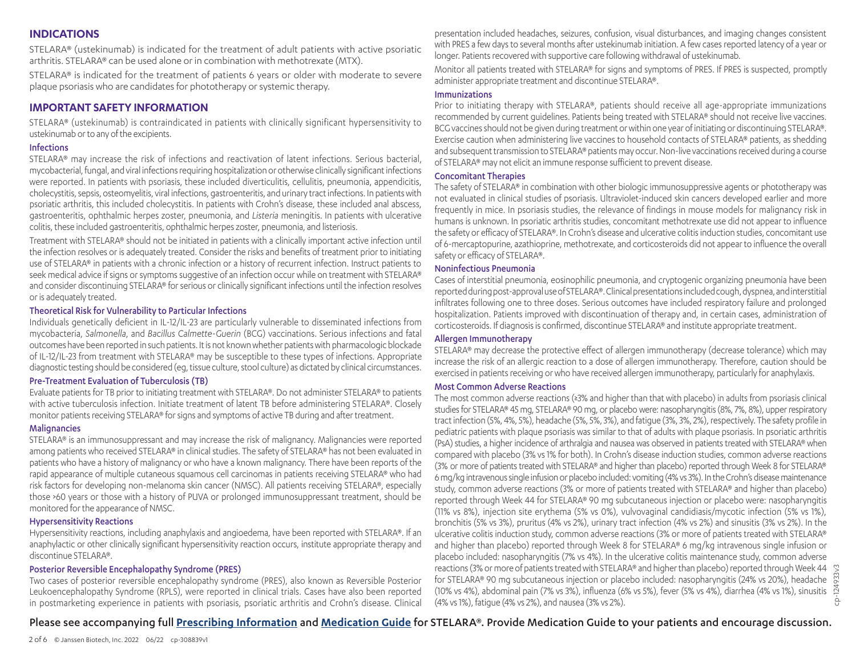#### **INDICATIONS**

STELARA® (ustekinumab) is indicated for the treatment of adult patients with active psoriatic arthritis. STELARA® can be used alone or in combination with methotrexate (MTX).

STELARA® is indicated for the treatment of patients 6 years or older with moderate to severe plaque psoriasis who are candidates for phototherapy or systemic therapy.

#### **IMPORTANT SAFETY INFORMATION**

STELARA® (ustekinumab) is contraindicated in patients with clinically significant hypersensitivity to ustekinumab or to any of the excipients.

#### Infections

STELARA® may increase the risk of infections and reactivation of latent infections. Serious bacterial, mycobacterial, fungal, and viral infections requiring hospitalization or otherwise clinically significant infections were reported. In patients with psoriasis, these included diverticulitis, cellulitis, pneumonia, appendicitis, cholecystitis, sepsis, osteomyelitis, viral infections, gastroenteritis, and urinary tract infections. In patients with psoriatic arthritis, this included cholecystitis. In patients with Crohn's disease, these included anal abscess, gastroenteritis, ophthalmic herpes zoster, pneumonia, and *Listeria* meningitis. In patients with ulcerative colitis, these included gastroenteritis, ophthalmic herpes zoster, pneumonia, and listeriosis.

Treatment with STELARA® should not be initiated in patients with a clinically important active infection until the infection resolves or is adequately treated. Consider the risks and benefits of treatment prior to initiating use of STELARA® in patients with a chronic infection or a history of recurrent infection. Instruct patients to seek medical advice if signs or symptoms suggestive of an infection occur while on treatment with STELARA® and consider discontinuing STELARA® for serious or clinically significant infections until the infection resolves or is adequately treated.

#### Theoretical Risk for Vulnerability to Particular Infections

Individuals genetically deficient in IL-12/IL-23 are particularly vulnerable to disseminated infections from mycobacteria, *Salmonella*, and *Bacillus Calmette-Guerin* (BCG) vaccinations. Serious infections and fatal outcomes have been reported in such patients. It is not known whether patients with pharmacologic blockade of IL-12/IL-23 from treatment with STELARA® may be susceptible to these types of infections. Appropriate diagnostic testing should be considered (eg, tissue culture, stool culture) as dictated by clinical circumstances.

#### Pre-Treatment Evaluation of Tuberculosis (TB)

Evaluate patients for TB prior to initiating treatment with STELARA®. Do not administer STELARA® to patients with active tuberculosis infection. Initiate treatment of latent TB before administering STELARA®. Closely monitor patients receiving STELARA® for signs and symptoms of active TB during and after treatment.

#### **Malignancies**

STELARA® is an immunosuppressant and may increase the risk of malignancy. Malignancies were reported among patients who received STELARA® in clinical studies. The safety of STELARA® has not been evaluated in patients who have a history of malignancy or who have a known malignancy. There have been reports of the rapid appearance of multiple cutaneous squamous cell carcinomas in patients receiving STELARA® who had risk factors for developing non-melanoma skin cancer (NMSC). All patients receiving STELARA®, especially those >60 years or those with a history of PUVA or prolonged immunosuppressant treatment, should be monitored for the appearance of NMSC.

#### Hypersensitivity Reactions

Hypersensitivity reactions, including anaphylaxis and angioedema, have been reported with STELARA®. If an anaphylactic or other clinically significant hypersensitivity reaction occurs, institute appropriate therapy and discontinue STELARA®.

#### Posterior Reversible Encephalopathy Syndrome (PRES)

Two cases of posterior reversible encephalopathy syndrome (PRES), also known as Reversible Posterior Leukoencephalopathy Syndrome (RPLS), were reported in clinical trials. Cases have also been reported in postmarketing experience in patients with psoriasis, psoriatic arthritis and Crohn's disease. Clinical presentation included headaches, seizures, confusion, visual disturbances, and imaging changes consistent with PRES a few days to several months after ustekinumab initiation. A few cases reported latency of a year or longer. Patients recovered with supportive care following withdrawal of ustekinumab.

Monitor all patients treated with STELARA® for signs and symptoms of PRES. If PRES is suspected, promptly administer appropriate treatment and discontinue STELARA®.

#### Immunizations

Prior to initiating therapy with STELARA®, patients should receive all age-appropriate immunizations recommended by current guidelines. Patients being treated with STELARA® should not receive live vaccines. BCG vaccines should not be given during treatment or within one year of initiating or discontinuing STELARA®. Exercise caution when administering live vaccines to household contacts of STELARA® patients, as shedding and subsequent transmission to STELARA® patients may occur. Non-live vaccinations received during a course of STELARA® may not elicit an immune response sufficient to prevent disease.

#### Concomitant Therapies

The safety of STELARA® in combination with other biologic immunosuppressive agents or phototherapy was not evaluated in clinical studies of psoriasis. Ultraviolet-induced skin cancers developed earlier and more frequently in mice. In psoriasis studies, the relevance of findings in mouse models for malignancy risk in humans is unknown. In psoriatic arthritis studies, concomitant methotrexate use did not appear to influence the safety or efficacy of STELARA®. In Crohn's disease and ulcerative colitis induction studies, concomitant use of 6-mercaptopurine, azathioprine, methotrexate, and corticosteroids did not appear to influence the overall safety or efficacy of STELARA®.

#### Noninfectious Pneumonia

Cases of interstitial pneumonia, eosinophilic pneumonia, and cryptogenic organizing pneumonia have been reported during post-approval use of STELARA®. Clinical presentations included cough, dyspnea, and interstitial infiltrates following one to three doses. Serious outcomes have included respiratory failure and prolonged hospitalization. Patients improved with discontinuation of therapy and, in certain cases, administration of corticosteroids. If diagnosis is confirmed, discontinue STELARA® and institute appropriate treatment.

#### Allergen Immunotherapy

STELARA® may decrease the protective effect of allergen immunotherapy (decrease tolerance) which may increase the risk of an allergic reaction to a dose of allergen immunotherapy. Therefore, caution should be exercised in patients receiving or who have received allergen immunotherapy, particularly for anaphylaxis.

#### Most Common Adverse Reactions

The most common adverse reactions (≥3% and higher than that with placebo) in adults from psoriasis clinical studies for STELARA® 45 mg, STELARA® 90 mg, or placebo were: nasopharyngitis (8%, 7%, 8%), upper respiratory tract infection (5%, 4%, 5%), headache (5%, 5%, 3%), and fatigue (3%, 3%, 2%), respectively. The safety profile in pediatric patients with plaque psoriasis was similar to that of adults with plaque psoriasis. In psoriatic arthritis (PsA) studies, a higher incidence of arthralgia and nausea was observed in patients treated with STELARA® when compared with placebo (3% vs 1% for both). In Crohn's disease induction studies, common adverse reactions (3% or more of patients treated with STELARA® and higher than placebo) reported through Week 8 for STELARA® 6 mg/kg intravenous single infusion or placebo included: vomiting (4% vs 3%). In the Crohn's disease maintenance study, common adverse reactions (3% or more of patients treated with STELARA® and higher than placebo) reported through Week 44 for STELARA® 90 mg subcutaneous injection or placebo were: nasopharyngitis (11% vs 8%), injection site erythema (5% vs 0%), vulvovaginal candidiasis/mycotic infection (5% vs 1%), bronchitis (5% vs 3%), pruritus (4% vs 2%), urinary tract infection (4% vs 2%) and sinusitis (3% vs 2%). In the ulcerative colitis induction study, common adverse reactions (3% or more of patients treated with STELARA® and higher than placebo) reported through Week 8 for STELARA® 6 mg/kg intravenous single infusion or placebo included: nasopharyngitis (7% vs 4%). In the ulcerative colitis maintenance study, common adverse reactions (3% or more of patients treated with STELARA® and higher than placebo) reported through Week 44 for STELARA® 90 mg subcutaneous injection or placebo included: nasopharyngitis (24% vs 20%), headache (10% vs 4%), abdominal pain (7% vs 3%), influenza (6% vs 5%), fever (5% vs 4%), diarrhea (4% vs 1%), sinusitis (4% vs 1%), fatigue (4% vs 2%), and nausea (3% vs 2%).

#### Please see accompanying full **[Prescribing Information](https://www.janssenlabels.com/package-insert/product-monograph/prescribing-information/STELARA-pi.pdf)** and **[Medication Guide](https://www.janssenlabels.com/package-insert/product-patient-information/STELARA-medication-guide.pdf)** for STELARA®. Provide Medication Guide to your patients and encourage discussion.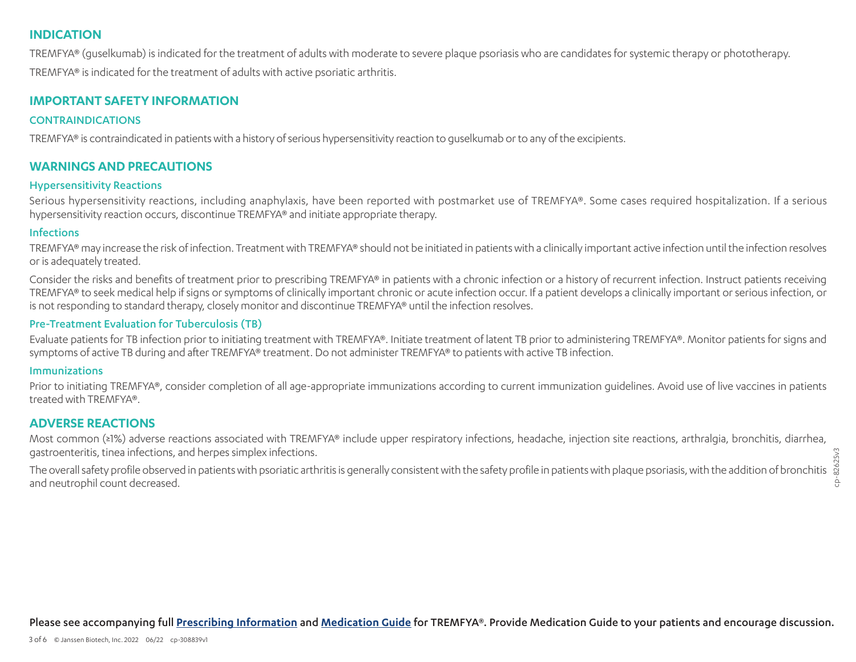#### **INDICATION**

TREMFYA® (guselkumab) is indicated for the treatment of adults with moderate to severe plaque psoriasis who are candidates for systemic therapy or phototherapy.

TREMFYA® is indicated for the treatment of adults with active psoriatic arthritis.

#### **IMPORTANT SAFETY INFORMATION**

#### **CONTRAINDICATIONS**

TREMFYA® is contraindicated in patients with a history of serious hypersensitivity reaction to guselkumab or to any of the excipients.

#### **WARNINGS AND PRECAUTIONS**

#### Hypersensitivity Reactions

Serious hypersensitivity reactions, including anaphylaxis, have been reported with postmarket use of TREMFYA®. Some cases required hospitalization. If a serious hypersensitivity reaction occurs, discontinue TREMFYA® and initiate appropriate therapy.

#### Infections

TREMFYA® may increase the risk of infection. Treatment with TREMFYA® should not be initiated in patients with a clinically important active infection until the infection resolves or is adequately treated.

Consider the risks and benefits of treatment prior to prescribing TREMFYA® in patients with a chronic infection or a history of recurrent infection. Instruct patients receiving TREMFYA® to seek medical help if signs or symptoms of clinically important chronic or acute infection occur. If a patient develops a clinically important or serious infection, or is not responding to standard therapy, closely monitor and discontinue TREMFYA® until the infection resolves.

#### Pre-Treatment Evaluation for Tuberculosis (TB)

Evaluate patients for TB infection prior to initiating treatment with TREMFYA®. Initiate treatment of latent TB prior to administering TREMFYA®. Monitor patients for signs and symptoms of active TB during and after TREMFYA® treatment. Do not administer TREMFYA® to patients with active TB infection.

#### Immunizations

Prior to initiating TREMFYA®, consider completion of all age-appropriate immunizations according to current immunization guidelines. Avoid use of live vaccines in patients treated with TREMFYA®.

#### **ADVERSE REACTIONS**

Most common (≥1%) adverse reactions associated with TREMFYA® include upper respiratory infections, headache, injection site reactions, arthralgia, bronchitis, diarrhea, gastroenteritis, tinea infections, and herpes simplex infections.

82625v3 The overall safety profile observed in patients with psoriatic arthritis is generally consistent with the safety profile in patients with plaque psoriasis, with the addition of bronchitis and neutrophil count decreased.

cp-82625v3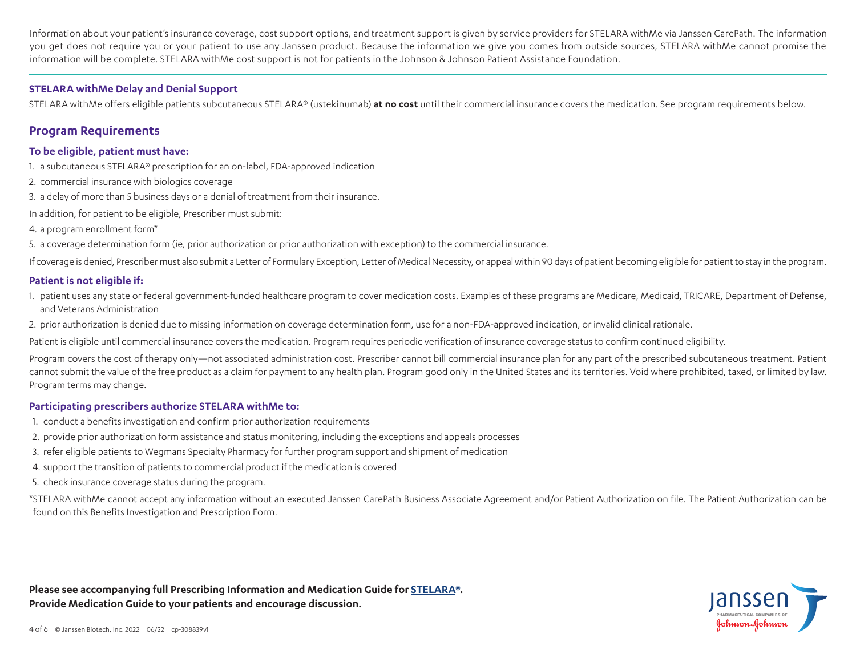Information about your patient's insurance coverage, cost support options, and treatment support is given by service providers for STELARA withMe via Janssen CarePath. The information you get does not require you or your patient to use any Janssen product. Because the information we give you comes from outside sources, STELARA withMe cannot promise the information will be complete. STELARA withMe cost support is not for patients in the Johnson & Johnson Patient Assistance Foundation.

#### **STELARA withMe Delay and Denial Support**

STELARA withMe offers eligible patients subcutaneous STELARA® (ustekinumab) **at no cost** until their commercial insurance covers the medication. See program requirements below.

#### **Program Requirements**

#### **To be eligible, patient must have:**

- 1. a subcutaneous STELARA® prescription for an on-label, FDA-approved indication
- 2. commercial insurance with biologics coverage
- 3. a delay of more than 5 business days or a denial of treatment from their insurance.
- In addition, for patient to be eligible, Prescriber must submit:
- 4. a program enrollment form\*
- 5. a coverage determination form (ie, prior authorization or prior authorization with exception) to the commercial insurance.

If coverage is denied, Prescriber must also submit a Letter of Formulary Exception, Letter of Medical Necessity, or appeal within 90 days of patient becoming eligible for patient to stay in the program.

#### **Patient is not eligible if:**

- 1. patient uses any state or federal government-funded healthcare program to cover medication costs. Examples of these programs are Medicare, Medicaid, TRICARE, Department of Defense, and Veterans Administration
- 2. prior authorization is denied due to missing information on coverage determination form, use for a non-FDA-approved indication, or invalid clinical rationale.

Patient is eligible until commercial insurance covers the medication. Program requires periodic verification of insurance coverage status to confirm continued eligibility.

Program covers the cost of therapy only—not associated administration cost. Prescriber cannot bill commercial insurance plan for any part of the prescribed subcutaneous treatment. Patient cannot submit the value of the free product as a claim for payment to any health plan. Program good only in the United States and its territories. Void where prohibited, taxed, or limited by law. Program terms may change.

#### **Participating prescribers authorize STELARA withMe to:**

- 1. conduct a benefits investigation and confirm prior authorization requirements
- 2. provide prior authorization form assistance and status monitoring, including the exceptions and appeals processes
- 3. refer eligible patients to Wegmans Specialty Pharmacy for further program support and shipment of medication
- 4. support the transition of patients to commercial product if the medication is covered
- 5. check insurance coverage status during the program.

\*STELARA withMe cannot accept any information without an executed Janssen CarePath Business Associate Agreement and/or Patient Authorization on file. The Patient Authorization can be found on this Benefits Investigation and Prescription Form.

**Please see accompanying full Prescribing Information and Medication Guide for [STELARA®](https://www.janssenlabels.com/package-insert/product-monograph/prescribing-information/STELARA-pi.pdf). Provide Medication Guide to your patients and encourage discussion.**

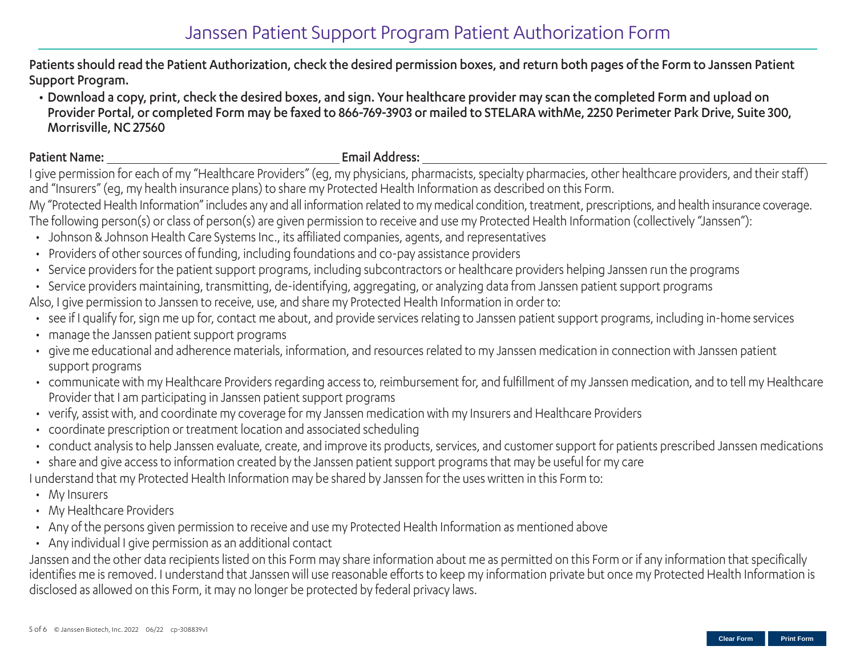### Janssen Patient Support Program Patient Authorization Form

Patients should read the Patient Authorization, check the desired permission boxes, and return both pages of the Form to Janssen Patient Support Program.

• Download a copy, print, check the desired boxes, and sign. Your healthcare provider may scan the completed Form and upload on Provider Portal, or completed Form may be faxed to 866-769-3903 or mailed to STELARA withMe, 2250 Perimeter Park Drive, Suite 300, Morrisville, NC 27560

#### Patient Name: Email Address:

I give permission for each of my "Healthcare Providers" (eg, my physicians, pharmacists, specialty pharmacies, other healthcare providers, and their staff) and "Insurers" (eg, my health insurance plans) to share my Protected Health Information as described on this Form.

My "Protected Health Information" includes any and all information related to my medical condition, treatment, prescriptions, and health insurance coverage. The following person(s) or class of person(s) are given permission to receive and use my Protected Health Information (collectively "Janssen"):

- Johnson & Johnson Health Care Systems Inc., its affiliated companies, agents, and representatives
- Providers of other sources of funding, including foundations and co-pay assistance providers
- Service providers for the patient support programs, including subcontractors or healthcare providers helping Janssen run the programs
- Service providers maintaining, transmitting, de-identifying, aggregating, or analyzing data from Janssen patient support programs

Also, I give permission to Janssen to receive, use, and share my Protected Health Information in order to:

- see if I qualify for, sign me up for, contact me about, and provide services relating to Janssen patient support programs, including in-home services
- manage the Janssen patient support programs
- give me educational and adherence materials, information, and resources related to my Janssen medication in connection with Janssen patient support programs
- communicate with my Healthcare Providers regarding access to, reimbursement for, and fulfillment of my Janssen medication, and to tell my Healthcare Provider that I am participating in Janssen patient support programs
- verify, assist with, and coordinate my coverage for my Janssen medication with my Insurers and Healthcare Providers
- coordinate prescription or treatment location and associated scheduling
- conduct analysis to help Janssen evaluate, create, and improve its products, services, and customer support for patients prescribed Janssen medications
- share and give access to information created by the Janssen patient support programs that may be useful for my care

I understand that my Protected Health Information may be shared by Janssen for the uses written in this Form to:

- My Insurers
- My Healthcare Providers
- Any of the persons given permission to receive and use my Protected Health Information as mentioned above
- Any individual I give permission as an additional contact

Janssen and the other data recipients listed on this Form may share information about me as permitted on this Form or if any information that specifically identifies me is removed. I understand that Janssen will use reasonable efforts to keep my information private but once my Protected Health Information is disclosed as allowed on this Form, it may no longer be protected by federal privacy laws.